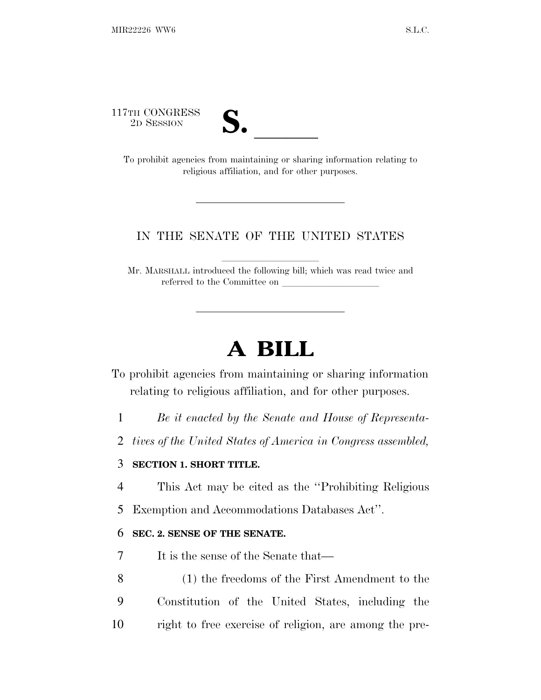117TH CONGRESS<br>2D SESSION



TH CONGRESS<br>
2D SESSION<br>
To prohibit agencies from maintaining or sharing information relating to religious affiliation, and for other purposes.

### IN THE SENATE OF THE UNITED STATES

Mr. MARSHALL introduced the following bill; which was read twice and referred to the Committee on

# **A BILL**

To prohibit agencies from maintaining or sharing information relating to religious affiliation, and for other purposes.

1 *Be it enacted by the Senate and House of Representa-*

2 *tives of the United States of America in Congress assembled,*

#### 3 **SECTION 1. SHORT TITLE.**

4 This Act may be cited as the ''Prohibiting Religious

5 Exemption and Accommodations Databases Act''.

#### 6 **SEC. 2. SENSE OF THE SENATE.**

7 It is the sense of the Senate that—

8 (1) the freedoms of the First Amendment to the 9 Constitution of the United States, including the 10 right to free exercise of religion, are among the pre-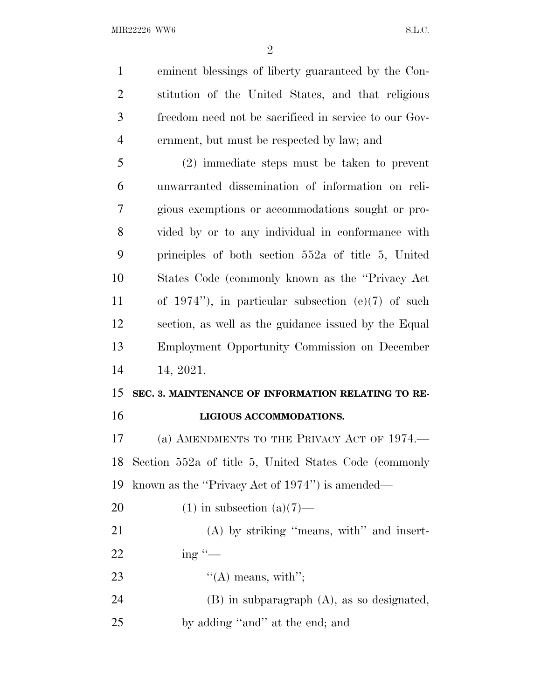eminent blessings of liberty guaranteed by the Con- stitution of the United States, and that religious freedom need not be sacrificed in service to our Gov-ernment, but must be respected by law; and

 (2) immediate steps must be taken to prevent unwarranted dissemination of information on reli- gious exemptions or accommodations sought or pro- vided by or to any individual in conformance with principles of both section 552a of title 5, United States Code (commonly known as the ''Privacy Act of 1974''), in particular subsection (e)(7) of such section, as well as the guidance issued by the Equal Employment Opportunity Commission on December 14, 2021.

## **SEC. 3. MAINTENANCE OF INFORMATION RELATING TO RE-LIGIOUS ACCOMMODATIONS.**

 (a) AMENDMENTS TO THE PRIVACY ACT OF 1974.— Section 552a of title 5, United States Code (commonly known as the ''Privacy Act of 1974'') is amended—

20  $(1)$  in subsection  $(a)(7)$ —

21 (A) by striking "means, with" and insert-22 ing  $\frac{1}{2}$ 

- 23  $"({\rm A})$  means, with";
- (B) in subparagraph (A), as so designated, by adding ''and'' at the end; and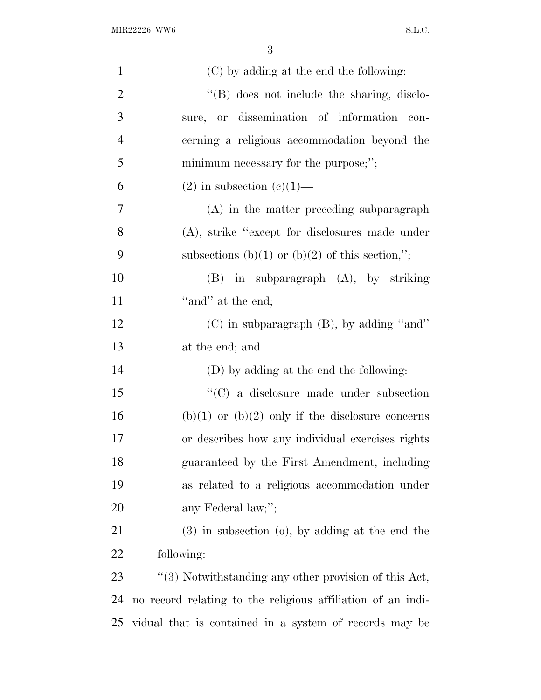| $\mathbf{1}$   | (C) by adding at the end the following:                     |
|----------------|-------------------------------------------------------------|
| $\overline{2}$ | $\lq\lq$ does not include the sharing, disclo-              |
| 3              | sure, or dissemination of information con-                  |
| $\overline{4}$ | cerning a religious accommodation beyond the                |
| 5              | minimum necessary for the purpose;";                        |
| 6              | $(2)$ in subsection $(e)(1)$ —                              |
| 7              | (A) in the matter preceding subparagraph                    |
| 8              | (A), strike "except for disclosures made under              |
| 9              | subsections (b)(1) or (b)(2) of this section,";             |
| 10             | $(B)$ in subparagraph $(A)$ , by striking                   |
| 11             | "and" at the end;                                           |
| 12             | (C) in subparagraph (B), by adding "and"                    |
| 13             | at the end; and                                             |
| 14             | (D) by adding at the end the following:                     |
| 15             | $\cdot$ (C) a disclosure made under subsection              |
| 16             | $(b)(1)$ or $(b)(2)$ only if the disclosure concerns        |
| 17             | or describes how any individual exercises rights            |
| 18             | guaranteed by the First Amendment, including                |
| 19             | as related to a religious accommodation under               |
| 20             | any Federal law;";                                          |
| 21             | $(3)$ in subsection $(0)$ , by adding at the end the        |
| 22             | following:                                                  |
| 23             | "(3) Notwithstanding any other provision of this Act,       |
| 24             | no record relating to the religious affiliation of an indi- |
| 25             | vidual that is contained in a system of records may be      |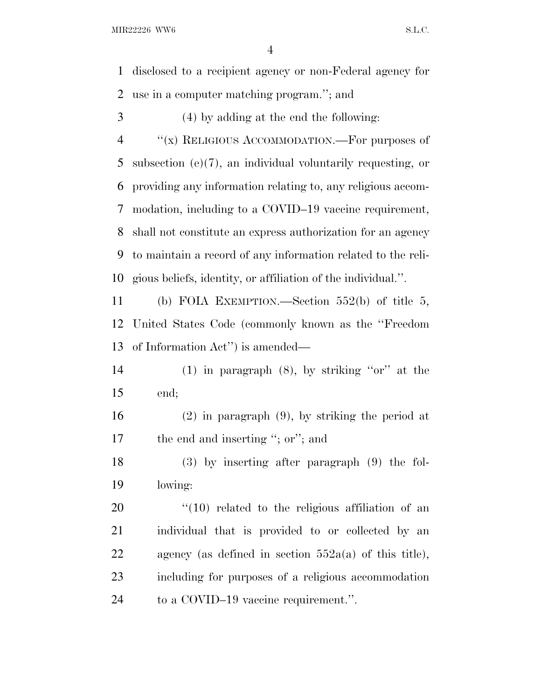disclosed to a recipient agency or non-Federal agency for use in a computer matching program.''; and

(4) by adding at the end the following:

4 "(x) RELIGIOUS ACCOMMODATION.—For purposes of subsection (e)(7), an individual voluntarily requesting, or providing any information relating to, any religious accom- modation, including to a COVID–19 vaccine requirement, shall not constitute an express authorization for an agency to maintain a record of any information related to the reli-gious beliefs, identity, or affiliation of the individual.''.

 (b) FOIA EXEMPTION.—Section 552(b) of title 5, United States Code (commonly known as the ''Freedom of Information Act'') is amended—

14 (1) in paragraph  $(8)$ , by striking "or" at the end;

 (2) in paragraph (9), by striking the period at 17 the end and inserting "; or"; and

 (3) by inserting after paragraph (9) the fol-lowing:

  $\frac{1}{10}$  related to the religious affiliation of an individual that is provided to or collected by an agency (as defined in section 552a(a) of this title), including for purposes of a religious accommodation to a COVID–19 vaccine requirement.''.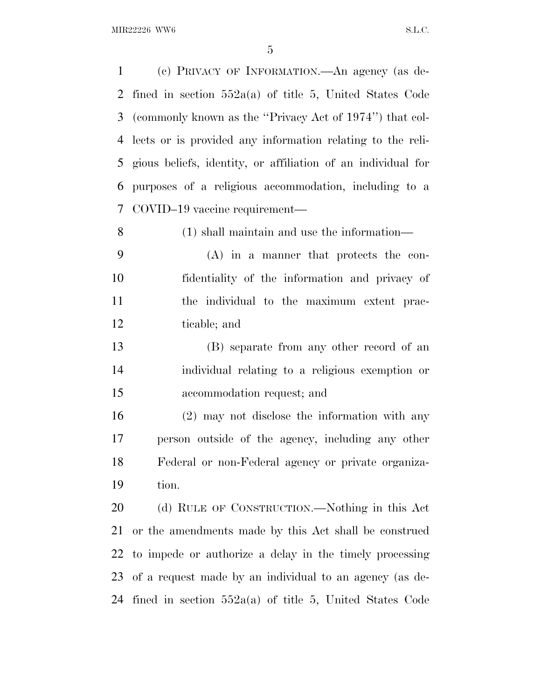(c) PRIVACY OF INFORMATION.—An agency (as de- fined in section 552a(a) of title 5, United States Code (commonly known as the ''Privacy Act of 1974'') that col- lects or is provided any information relating to the reli- gious beliefs, identity, or affiliation of an individual for purposes of a religious accommodation, including to a COVID–19 vaccine requirement— (1) shall maintain and use the information— (A) in a manner that protects the con- fidentiality of the information and privacy of the individual to the maximum extent prac- ticable; and (B) separate from any other record of an individual relating to a religious exemption or accommodation request; and (2) may not disclose the information with any person outside of the agency, including any other Federal or non-Federal agency or private organiza- tion. (d) RULE OF CONSTRUCTION.—Nothing in this Act or the amendments made by this Act shall be construed to impede or authorize a delay in the timely processing of a request made by an individual to an agency (as de-fined in section 552a(a) of title 5, United States Code